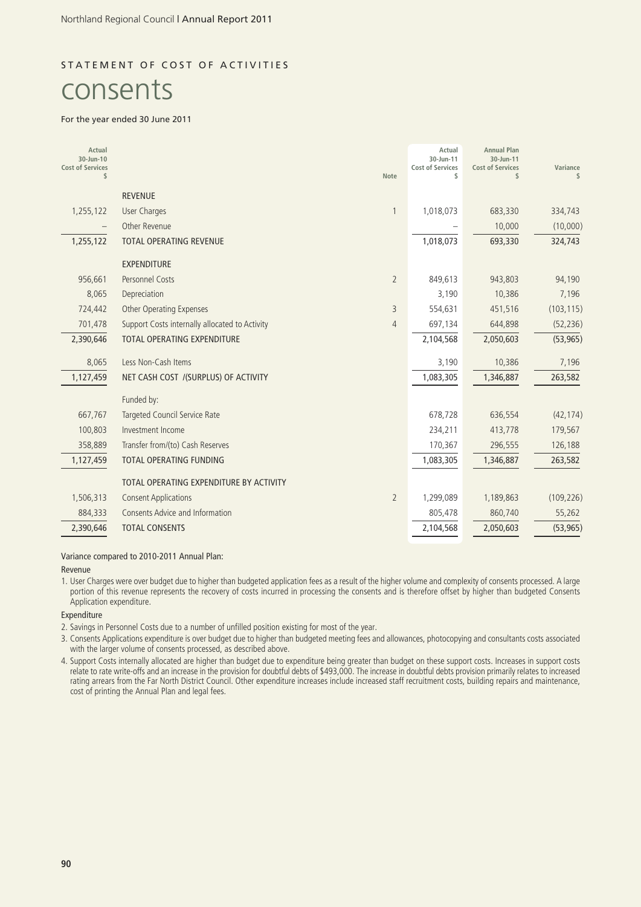### STATEMENT OF COST OF ACTIVITIES

# consents

#### For the year ended 30 June 2011

| Actual<br>30-Jun-10<br><b>Cost of Services</b><br>\$ |                                                | <b>Note</b>    | Actual<br>30-Jun-11<br><b>Cost of Services</b><br>\$ | <b>Annual Plan</b><br>30-Jun-11<br><b>Cost of Services</b><br>\$ | Variance<br>\$ |
|------------------------------------------------------|------------------------------------------------|----------------|------------------------------------------------------|------------------------------------------------------------------|----------------|
|                                                      | <b>REVENUE</b>                                 |                |                                                      |                                                                  |                |
| 1,255,122                                            | User Charges                                   | 1              | 1,018,073                                            | 683,330                                                          | 334,743        |
|                                                      | Other Revenue                                  |                |                                                      | 10,000                                                           | (10,000)       |
| 1,255,122                                            | <b>TOTAL OPERATING REVENUE</b>                 |                | 1,018,073                                            | 693,330                                                          | 324,743        |
|                                                      | <b>EXPENDITURE</b>                             |                |                                                      |                                                                  |                |
| 956,661                                              | <b>Personnel Costs</b>                         | $\overline{2}$ | 849,613                                              | 943,803                                                          | 94,190         |
| 8,065                                                | Depreciation                                   |                | 3,190                                                | 10,386                                                           | 7,196          |
| 724,442                                              | <b>Other Operating Expenses</b>                | 3              | 554,631                                              | 451,516                                                          | (103, 115)     |
| 701,478                                              | Support Costs internally allocated to Activity | $\overline{4}$ | 697,134                                              | 644,898                                                          | (52, 236)      |
| 2,390,646                                            | <b>TOTAL OPERATING EXPENDITURE</b>             |                | 2,104,568                                            | 2,050,603                                                        | (53, 965)      |
| 8,065                                                | Less Non-Cash Items                            |                | 3,190                                                | 10,386                                                           | 7,196          |
| 1,127,459                                            | NET CASH COST /(SURPLUS) OF ACTIVITY           |                | 1,083,305                                            | 1,346,887                                                        | 263,582        |
|                                                      | Funded by:                                     |                |                                                      |                                                                  |                |
| 667,767                                              | Targeted Council Service Rate                  |                | 678,728                                              | 636,554                                                          | (42, 174)      |
| 100,803                                              | Investment Income                              |                | 234,211                                              | 413,778                                                          | 179,567        |
| 358,889                                              | Transfer from/(to) Cash Reserves               |                | 170,367                                              | 296,555                                                          | 126,188        |
| 1,127,459                                            | TOTAL OPERATING FUNDING                        |                | 1,083,305                                            | 1,346,887                                                        | 263,582        |
|                                                      | TOTAL OPERATING EXPENDITURE BY ACTIVITY        |                |                                                      |                                                                  |                |
| 1,506,313                                            | <b>Consent Applications</b>                    | $\overline{2}$ | 1,299,089                                            | 1,189,863                                                        | (109, 226)     |
| 884,333                                              | <b>Consents Advice and Information</b>         |                | 805,478                                              | 860,740                                                          | 55,262         |
| 2,390,646                                            | <b>TOTAL CONSENTS</b>                          |                | 2,104,568                                            | 2,050,603                                                        | (53, 965)      |

Variance compared to 2010-2011 Annual Plan:

#### Revenue

1. User Charges were over budget due to higher than budgeted application fees as a result of the higher volume and complexity of consents processed. A large portion of this revenue represents the recovery of costs incurred in processing the consents and is therefore offset by higher than budgeted Consents Application expenditure.

#### Expenditure

2. Savings in Personnel Costs due to a number of unfilled position existing for most of the year.

3. Consents Applications expenditure is over budget due to higher than budgeted meeting fees and allowances, photocopying and consultants costs associated with the larger volume of consents processed, as described above.

4. Support Costs internally allocated are higher than budget due to expenditure being greater than budget on these support costs. Increases in support costs relate to rate write-offs and an increase in the provision for doubtful debts of \$493,000. The increase in doubtful debts provision primarily relates to increased rating arrears from the Far North District Council. Other expenditure increases include increased staff recruitment costs, building repairs and maintenance, cost of printing the Annual Plan and legal fees.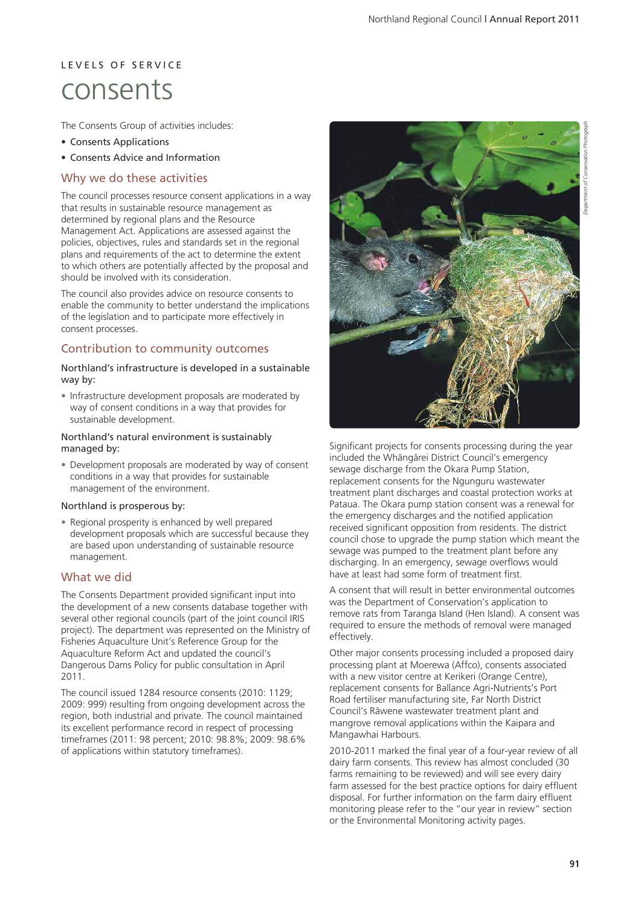## L E V E L S O F S E R V I C E consents

The Consents Group of activities includes:

- Consents Applications
- Consents Advice and Information

### Why we do these activities

The council processes resource consent applications in a way that results in sustainable resource management as determined by regional plans and the Resource Management Act. Applications are assessed against the policies, objectives, rules and standards set in the regional plans and requirements of the act to determine the extent to which others are potentially affected by the proposal and should be involved with its consideration.

The council also provides advice on resource consents to enable the community to better understand the implications of the legislation and to participate more effectively in consent processes.

### Contribution to community outcomes

#### Northland's infrastructure is developed in a sustainable way by:

• Infrastructure development proposals are moderated by way of consent conditions in a way that provides for sustainable development.

#### Northland's natural environment is sustainably managed by:

• Development proposals are moderated by way of consent conditions in a way that provides for sustainable management of the environment.

#### Northland is prosperous by:

• Regional prosperity is enhanced by well prepared development proposals which are successful because they are based upon understanding of sustainable resource management.

### What we did

The Consents Department provided significant input into the development of a new consents database together with several other regional councils (part of the joint council IRIS project). The department was represented on the Ministry of Fisheries Aquaculture Unit's Reference Group for the Aquaculture Reform Act and updated the council's Dangerous Dams Policy for public consultation in April 2011.

The council issued 1284 resource consents (2010: 1129; 2009: 999) resulting from ongoing development across the region, both industrial and private. The council maintained its excellent performance record in respect of processing timeframes (2011: 98 percent; 2010: 98.8%; 2009: 98.6% of applications within statutory timeframes).



Significant projects for consents processing during the year included the Whängärei District Council's emergency sewage discharge from the Okara Pump Station. replacement consents for the Ngunguru wastewater treatment plant discharges and coastal protection works at Pataua. The Okara pump station consent was a renewal for the emergency discharges and the notified application received significant opposition from residents. The district council chose to upgrade the pump station which meant the sewage was pumped to the treatment plant before any discharging. In an emergency, sewage overflows would have at least had some form of treatment first.

A consent that will result in better environmental outcomes was the Department of Conservation's application to remove rats from Taranga Island (Hen Island). A consent was required to ensure the methods of removal were managed effectively.

Other major consents processing included a proposed dairy processing plant at Moerewa (Affco), consents associated with a new visitor centre at Kerikeri (Orange Centre), replacement consents for Ballance Agri-Nutrients's Port Road fertiliser manufacturing site, Far North District Council's Räwene wastewater treatment plant and mangrove removal applications within the Kaipara and Mangawhai Harbours.

2010-2011 marked the final year of a four-year review of all dairy farm consents. This review has almost concluded (30 farms remaining to be reviewed) and will see every dairy farm assessed for the best practice options for dairy effluent disposal. For further information on the farm dairy effluent monitoring please refer to the "our year in review" section or the Environmental Monitoring activity pages.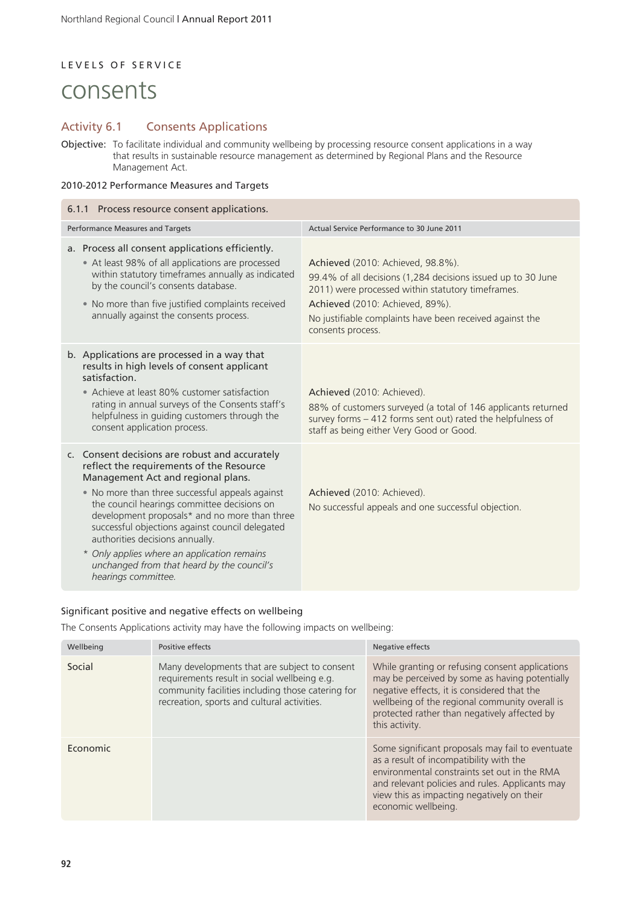### LEVELS OF SERVICE

## consents

### Activity 6.1 Consents Applications

Objective: To facilitate individual and community wellbeing by processing resource consent applications in a way that results in sustainable resource management as determined by Regional Plans and the Resource Management Act.

### 2010-2012 Performance Measures and Targets

| 6.1.1 Process resource consent applications.                                                                                                                                                                                                                                                                                                                                                                                                                                                  |                                                                                                                                                                                                                                                                            |  |  |  |
|-----------------------------------------------------------------------------------------------------------------------------------------------------------------------------------------------------------------------------------------------------------------------------------------------------------------------------------------------------------------------------------------------------------------------------------------------------------------------------------------------|----------------------------------------------------------------------------------------------------------------------------------------------------------------------------------------------------------------------------------------------------------------------------|--|--|--|
| Performance Measures and Targets                                                                                                                                                                                                                                                                                                                                                                                                                                                              | Actual Service Performance to 30 June 2011                                                                                                                                                                                                                                 |  |  |  |
| a. Process all consent applications efficiently.<br>• At least 98% of all applications are processed<br>within statutory timeframes annually as indicated<br>by the council's consents database.<br>• No more than five justified complaints received<br>annually against the consents process.                                                                                                                                                                                               | Achieved (2010: Achieved, 98.8%).<br>99.4% of all decisions (1,284 decisions issued up to 30 June<br>2011) were processed within statutory timeframes.<br>Achieved (2010: Achieved, 89%).<br>No justifiable complaints have been received against the<br>consents process. |  |  |  |
| b. Applications are processed in a way that<br>results in high levels of consent applicant<br>satisfaction.<br>• Achieve at least 80% customer satisfaction<br>rating in annual surveys of the Consents staff's<br>helpfulness in guiding customers through the<br>consent application process.                                                                                                                                                                                               | Achieved (2010: Achieved).<br>88% of customers surveyed (a total of 146 applicants returned<br>survey forms - 412 forms sent out) rated the helpfulness of<br>staff as being either Very Good or Good.                                                                     |  |  |  |
| c. Consent decisions are robust and accurately<br>reflect the requirements of the Resource<br>Management Act and regional plans.<br>• No more than three successful appeals against<br>the council hearings committee decisions on<br>development proposals* and no more than three<br>successful objections against council delegated<br>authorities decisions annually.<br>* Only applies where an application remains<br>unchanged from that heard by the council's<br>hearings committee. | Achieved (2010: Achieved).<br>No successful appeals and one successful objection.                                                                                                                                                                                          |  |  |  |

#### Significant positive and negative effects on wellbeing

The Consents Applications activity may have the following impacts on wellbeing:

| Wellbeing | Positive effects                                                                                                                                                                                  | Negative effects                                                                                                                                                                                                                                                     |
|-----------|---------------------------------------------------------------------------------------------------------------------------------------------------------------------------------------------------|----------------------------------------------------------------------------------------------------------------------------------------------------------------------------------------------------------------------------------------------------------------------|
| Social    | Many developments that are subject to consent<br>requirements result in social wellbeing e.g.<br>community facilities including those catering for<br>recreation, sports and cultural activities. | While granting or refusing consent applications<br>may be perceived by some as having potentially<br>negative effects, it is considered that the<br>wellbeing of the regional community overall is<br>protected rather than negatively affected by<br>this activity. |
| Economic  |                                                                                                                                                                                                   | Some significant proposals may fail to eventuate<br>as a result of incompatibility with the<br>environmental constraints set out in the RMA<br>and relevant policies and rules. Applicants may<br>view this as impacting negatively on their<br>economic wellbeing.  |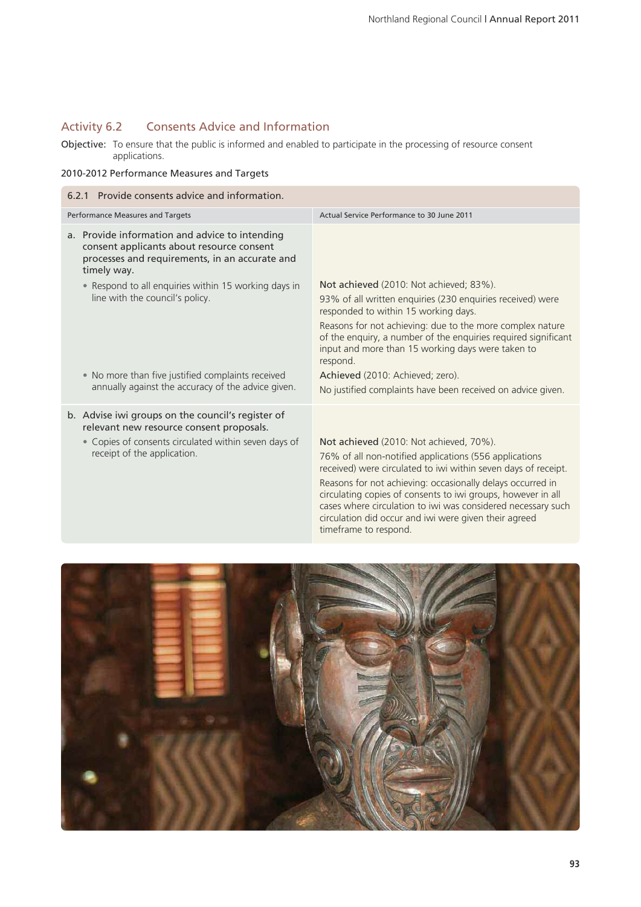### Activity 6.2 Consents Advice and Information

Objective: To ensure that the public is informed and enabled to participate in the processing of resource consent applications.

### 2010-2012 Performance Measures and Targets

| 6.2.1 Provide consents advice and information.                                                                                                               |                                                                                                                                                                                                                                                                                                                                                                                                                            |  |  |  |
|--------------------------------------------------------------------------------------------------------------------------------------------------------------|----------------------------------------------------------------------------------------------------------------------------------------------------------------------------------------------------------------------------------------------------------------------------------------------------------------------------------------------------------------------------------------------------------------------------|--|--|--|
| Performance Measures and Targets                                                                                                                             | Actual Service Performance to 30 June 2011                                                                                                                                                                                                                                                                                                                                                                                 |  |  |  |
| a. Provide information and advice to intending<br>consent applicants about resource consent<br>processes and requirements, in an accurate and<br>timely way. |                                                                                                                                                                                                                                                                                                                                                                                                                            |  |  |  |
| • Respond to all enquiries within 15 working days in<br>line with the council's policy.                                                                      | Not achieved (2010: Not achieved; 83%).<br>93% of all written enquiries (230 enquiries received) were<br>responded to within 15 working days.                                                                                                                                                                                                                                                                              |  |  |  |
|                                                                                                                                                              | Reasons for not achieving: due to the more complex nature<br>of the enquiry, a number of the enquiries required significant<br>input and more than 15 working days were taken to<br>respond.                                                                                                                                                                                                                               |  |  |  |
| • No more than five justified complaints received<br>annually against the accuracy of the advice given.                                                      | Achieved (2010: Achieved; zero).<br>No justified complaints have been received on advice given.                                                                                                                                                                                                                                                                                                                            |  |  |  |
| b. Advise iwi groups on the council's register of<br>relevant new resource consent proposals.                                                                |                                                                                                                                                                                                                                                                                                                                                                                                                            |  |  |  |
| • Copies of consents circulated within seven days of<br>receipt of the application.                                                                          | Not achieved (2010: Not achieved, 70%).<br>76% of all non-notified applications (556 applications<br>received) were circulated to iwi within seven days of receipt.<br>Reasons for not achieving: occasionally delays occurred in<br>circulating copies of consents to iwi groups, however in all<br>cases where circulation to iwi was considered necessary such<br>circulation did occur and iwi were given their agreed |  |  |  |



timeframe to respond.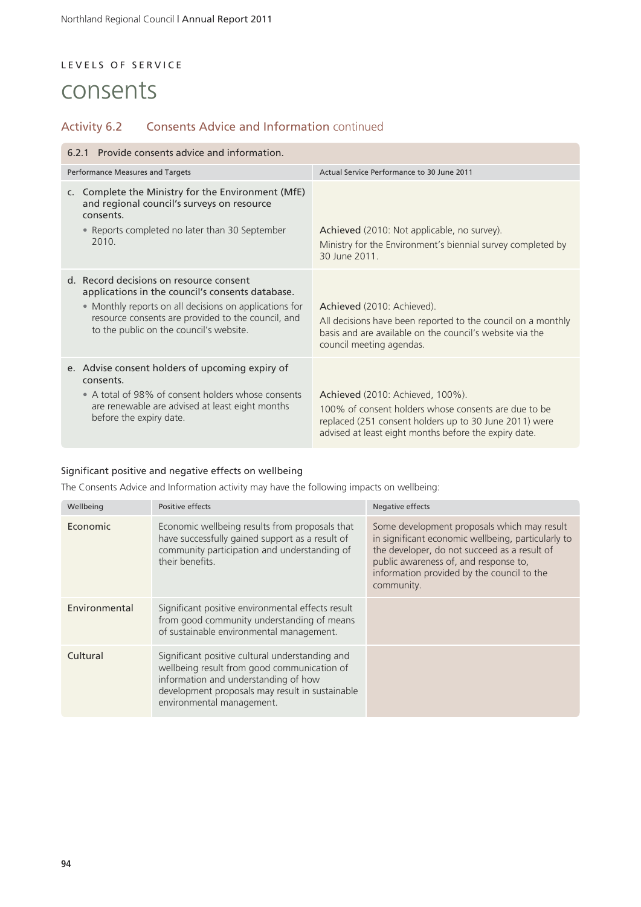### LEVELS OF SERVICE

## consents

### Activity 6.2 Consents Advice and Information continued

| 6.2.1 Provide consents advice and information.                                                                                                                                                                                                         |                                                                                                                                                                                                             |  |  |  |
|--------------------------------------------------------------------------------------------------------------------------------------------------------------------------------------------------------------------------------------------------------|-------------------------------------------------------------------------------------------------------------------------------------------------------------------------------------------------------------|--|--|--|
| Performance Measures and Targets                                                                                                                                                                                                                       | Actual Service Performance to 30 June 2011                                                                                                                                                                  |  |  |  |
| Complete the Ministry for the Environment (MfE)<br>C.<br>and regional council's surveys on resource<br>consents.<br>• Reports completed no later than 30 September<br>2010                                                                             | Achieved (2010: Not applicable, no survey).<br>Ministry for the Environment's biennial survey completed by<br>30 June 2011                                                                                  |  |  |  |
| d. Record decisions on resource consent<br>applications in the council's consents database.<br>• Monthly reports on all decisions on applications for<br>resource consents are provided to the council, and<br>to the public on the council's website. | Achieved (2010: Achieved).<br>All decisions have been reported to the council on a monthly<br>basis and are available on the council's website via the<br>council meeting agendas.                          |  |  |  |
| e. Advise consent holders of upcoming expiry of<br>consents.<br>• A total of 98% of consent holders whose consents<br>are renewable are advised at least eight months<br>before the expiry date.                                                       | Achieved (2010: Achieved, 100%).<br>100% of consent holders whose consents are due to be<br>replaced (251 consent holders up to 30 June 2011) were<br>advised at least eight months before the expiry date. |  |  |  |

### Significant positive and negative effects on wellbeing

The Consents Advice and Information activity may have the following impacts on wellbeing:

| Wellbeing     | Positive effects                                                                                                                                                                                                       | Negative effects                                                                                                                                                                                                                                       |
|---------------|------------------------------------------------------------------------------------------------------------------------------------------------------------------------------------------------------------------------|--------------------------------------------------------------------------------------------------------------------------------------------------------------------------------------------------------------------------------------------------------|
| Economic      | Economic wellbeing results from proposals that<br>have successfully gained support as a result of<br>community participation and understanding of<br>their benefits                                                    | Some development proposals which may result<br>in significant economic wellbeing, particularly to<br>the developer, do not succeed as a result of<br>public awareness of, and response to,<br>information provided by the council to the<br>community. |
| Environmental | Significant positive environmental effects result<br>from good community understanding of means<br>of sustainable environmental management.                                                                            |                                                                                                                                                                                                                                                        |
| Cultural      | Significant positive cultural understanding and<br>wellbeing result from good communication of<br>information and understanding of how<br>development proposals may result in sustainable<br>environmental management. |                                                                                                                                                                                                                                                        |